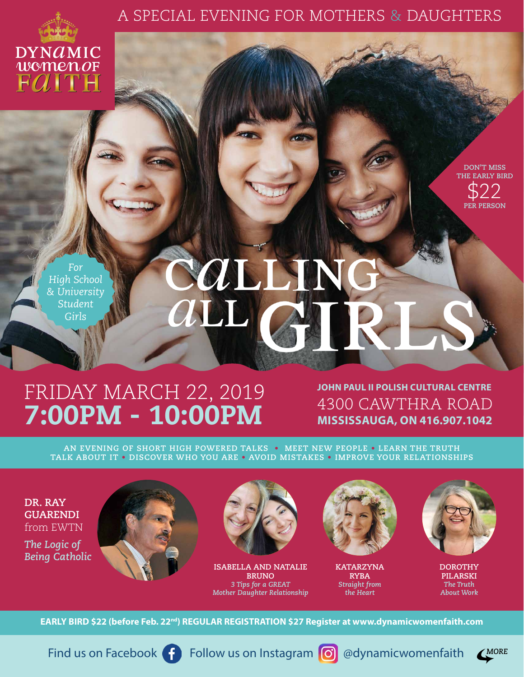## A SPECIAL EVENING FOR MOTHERS & DAUGHTERS



**DON'T MISS THE EARLY BIRD** \$22 **PER PERSON**

*For High School & University Student Girls*

## **EXALLEM**

## FRIDAY MARCH 22, 2019 7:00PM - 10:00PM

**JOHN PAUL II POLISH CULTURAL CENTRE** 4300 CAWTHRA ROAD **MISSISSAUGA, ON 416.907.1042**

**AN EVENING OF SHORT HIGH POWERED TALKS • MEET NEW PEOPLE • LEARN THE TRUTH TALK ABOUT IT • DISCOVER WHO YOU ARE • AVOID MISTAKES • IMPROVE YOUR RELATIONSHIPS**

**DR. RAY GUARENDI** from EWTN

*The Logic of Being Catholic*





**ISABELLA AND NATALIE BRUNO** *3 Tips for a GREAT Mother Daughter Relationship*



**KATARZYNA RYBA** *Straight from the Heart*



**DOROTHY PILARSKI** *The Truth About Work*

EARLY BIRD \$22 (before Feb. 22<sup>nd</sup>) REGULAR REGISTRATION \$27 Register at www.dynamicwomenfaith.com

Find us on Facebook **Follow us on Instagram o** @dynamicwomenfaith